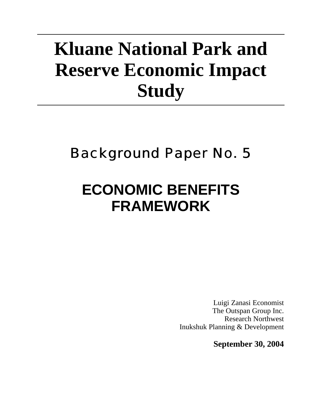# **Kluane National Park and Reserve Economic Impact Study**

## Background Paper No. 5

## **ECONOMIC BENEFITS FRAMEWORK**

Luigi Zanasi Economist The Outspan Group Inc. Research Northwest Inukshuk Planning & Development

**September 30, 2004**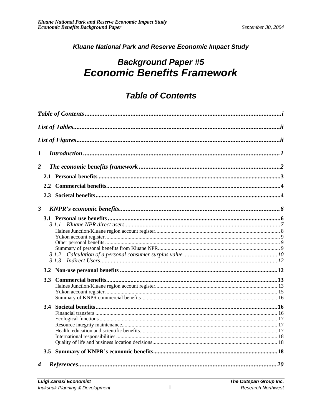#### Kluane National Park and Reserve Economic Impact Study

## **Background Paper #5 Economic Benefits Framework**

## **Table of Contents**

| 1              |  |                       |  |  |  |  |
|----------------|--|-----------------------|--|--|--|--|
| $\overline{2}$ |  |                       |  |  |  |  |
|                |  |                       |  |  |  |  |
|                |  |                       |  |  |  |  |
|                |  |                       |  |  |  |  |
| $\mathbf{3}$   |  |                       |  |  |  |  |
|                |  |                       |  |  |  |  |
|                |  |                       |  |  |  |  |
|                |  |                       |  |  |  |  |
|                |  |                       |  |  |  |  |
|                |  | $References \dots 20$ |  |  |  |  |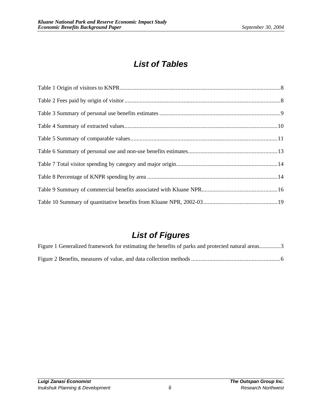## *List of Tables*

## *List of Figures*

| Figure 1 Generalized framework for estimating the benefits of parks and protected natural areas3 |  |
|--------------------------------------------------------------------------------------------------|--|
|                                                                                                  |  |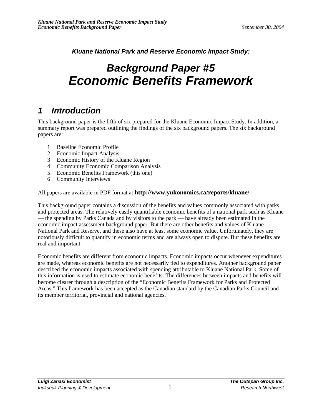*Kluane National Park and Reserve Economic Impact Study:*

## *Background Paper #5 Economic Benefits Framework*

## *1 Introduction*

This background paper is the fifth of six prepared for the Kluane Economic Impact Study. In addition, a summary report was prepared outlining the findings of the six background papers. The six background papers are:

- 1 Baseline Economic Profile
- 2 Economic Impact Analysis
- 3 Economic History of the Kluane Region
- 4 Community Economic Comparison Analysis
- 5 Economic Benefits Framework (this one)
- 6 Community Interviews

#### All papers are available in PDF format at **http://www.yukonomics.ca/reports/kluane/**

This background paper contains a discussion of the benefits and values commonly associated with parks and protected areas. The relatively easily quantifiable economic benefits of a national park such as Kluane — the spending by Parks Canada and by visitors to the park — have already been estimated in the economic impact assessment background paper. But there are other benefits and values of Kluane National Park and Reserve, and these also have at least some economic value. Unfortunately, they are notoriously difficult to quantify in economic terms and are always open to dispute. But these benefits are real and important.

Economic benefits are different from economic impacts. Economic impacts occur whenever expenditures are made, whereas economic benefits are not necessarily tied to expenditures. Another background paper described the economic impacts associated with spending attributable to Kluane National Park. Some of this information is used to estimate economic benefits. The differences between impacts and benefits will become clearer through a description of the "Economic Benefits Framework for Parks and Protected Areas." This framework has been accepted as the Canadian standard by the Canadian Parks Council and its member territorial, provincial and national agencies.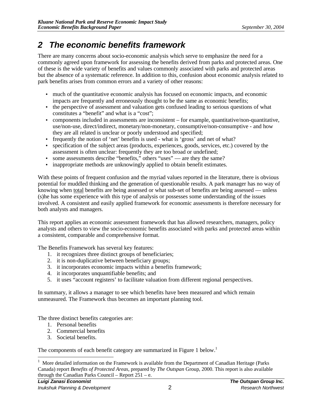### *2 The economic benefits framework*

There are many concerns about socio-economic analysis which serve to emphasize the need for a commonly agreed upon framework for assessing the benefits derived from parks and protected areas. One of these is the wide variety of benefits and values commonly associated with parks and protected areas but the absence of a systematic reference. In addition to this, confusion about economic analysis related to park benefits arises from common errors and a variety of other reasons:

- much of the quantitative economic analysis has focused on economic impacts, and economic impacts are frequently and erroneously thought to be the same as economic benefits;
- the perspective of assessment and valuation gets confused leading to serious questions of what constitutes a "benefit" and what is a "cost";
- components included in assessments are inconsistent for example, quantitative/non-quantitative, use/non-use, direct/indirect, monetary/non-monetary, consumptive/non-consumptive - and how they are all related is unclear or poorly understood and specified;
- frequently the notion of 'net' benefits is used what is 'gross' and net of what?
- specification of the subject areas (products, experiences, goods, services, etc.) covered by the assessment is often unclear: frequently they are too broad or undefined;
- some assessments describe "benefits," others "uses" are they the same?
- inappropriate methods are unknowingly applied to obtain benefit estimates.

With these points of frequent confusion and the myriad values reported in the literature, there is obvious potential for muddled thinking and the generation of questionable results. A park manager has no way of knowing when total benefits are being assessed or what sub-set of benefits are being assessed — unless (s)he has some experience with this type of analysis or possesses some understanding of the issues involved. A consistent and easily applied framework for economic assessments is therefore necessary for both analysts and managers.

This report applies an economic assessment framework that has allowed researchers, managers, policy analysts and others to view the socio-economic benefits associated with parks and protected areas within a consistent, comparable and comprehensive format.

The Benefits Framework has several key features:

- 1. it recognizes three distinct groups of beneficiaries;
- 2. it is non-duplicative between beneficiary groups;
- 3. it incorporates economic impacts within a benefits framework;
- 4. it incorporates unquantifiable benefits; and
- 5. it uses "account registers' to facilitate valuation from different regional perspectives.

In summary, it allows a manager to see which benefits have been measured and which remain unmeasured. The Framework thus becomes an important planning tool.

The three distinct benefits categories are:

- 1. Personal benefits
- 2. Commercial benefits
- 3. Societal benefits.

<u>.</u>

The components of each benefit category are summarized in Figure 1 below.<sup>1</sup>

<sup>&</sup>lt;sup>1</sup> More detailed information on the Framework is available from the Department of Canadian Heritage (Parks Canada) report *Benefits of Protected Areas*, prepared by *The Outspan* Group, 2000. This report is also available through the Canadian Parks Council – Report 251 – e.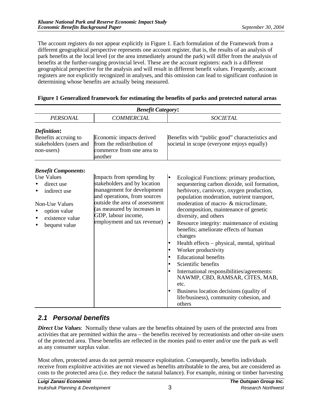The account registers do not appear explicitly in Figure 1. Each formulation of the Framework from a different geographical perspective represents one account register, that is, the results of an analysis of park benefits at the local level (or the area immediately around the park) will differ from the analysis of benefits at the further-ranging provincial level. These are the account registers: each is a different geographical perspective for the analysis and will result in different benefit values. Frequently, account registers are not explicitly recognized in analyses, and this omission can lead to significant confusion in determining whose benefits are actually being measured.

| <b>Benefit Category:</b>                                                                                                                            |                                                                                                                                                                                                                                                |                                                                                                                                                                                                                                                                                                                                                                                                                                                                                                                                                                                                                                                                                                                        |  |  |
|-----------------------------------------------------------------------------------------------------------------------------------------------------|------------------------------------------------------------------------------------------------------------------------------------------------------------------------------------------------------------------------------------------------|------------------------------------------------------------------------------------------------------------------------------------------------------------------------------------------------------------------------------------------------------------------------------------------------------------------------------------------------------------------------------------------------------------------------------------------------------------------------------------------------------------------------------------------------------------------------------------------------------------------------------------------------------------------------------------------------------------------------|--|--|
| <b>PERSONAL</b>                                                                                                                                     | <b>COMMERCIAL</b>                                                                                                                                                                                                                              | <b>SOCIETAL</b>                                                                                                                                                                                                                                                                                                                                                                                                                                                                                                                                                                                                                                                                                                        |  |  |
| Definition:<br>Benefits accruing to<br>stakeholders (users and<br>non-users)                                                                        | Economic impacts derived<br>from the redistribution of<br>commerce from one area to<br>another                                                                                                                                                 | Benefits with "public good" characteristics and<br>societal in scope (everyone enjoys equally)                                                                                                                                                                                                                                                                                                                                                                                                                                                                                                                                                                                                                         |  |  |
| <b>Benefit Components:</b><br><b>Use Values</b><br>direct use<br>indirect use<br>Non-Use Values<br>option value<br>existence value<br>bequest value | Impacts from spending by<br>stakeholders and by location<br>management for development<br>and operations, from sources<br>outside the area of assessment<br>(as measured by increases in<br>GDP, labour income,<br>employment and tax revenue) | Ecological Functions: primary production,<br>sequestering carbon dioxide, soil formation,<br>herbivory, carnivory, oxygen production,<br>population moderation, nutrient transport,<br>moderation of macro- & microclimate,<br>decomposition, maintenance of genetic<br>diversity, and others<br>Resource integrity: maintenance of existing<br>benefits; ameliorate effects of human<br>changes<br>Health effects – physical, mental, spiritual<br>Worker productivity<br><b>Educational benefits</b><br>Scientific benefits<br>International responsibilities/agreements:<br>NAWMP, CBD, RAMSAR, CITES, MAB,<br>etc.<br>Business location decisions (quality of<br>life/business), community cohesion, and<br>others |  |  |

#### **Figure 1 Generalized framework for estimating the benefits of parks and protected natural areas**

#### *2.1 Personal benefits*

*Direct Use Values*: Normally these values are the benefits obtained by users of the protected area from activities that are permitted within the area – the benefits received by recreationists and other on-site users of the protected area. These benefits are reflected in the monies paid to enter and/or use the park as well as any consumer surplus value.

Most often, protected areas do not permit resource exploitation. Consequently, benefits individuals receive from exploitive activities are not viewed as benefits attributable to the area, but are considered as costs to the protected area (i.e. they reduce the natural balance). For example, mining or timber harvesting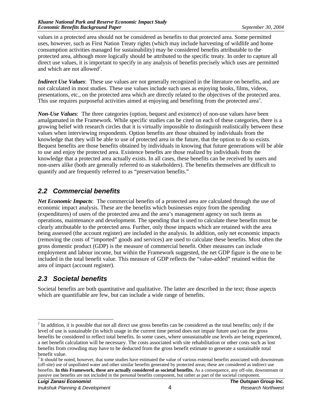values in a protected area should not be considered as benefits to that protected area. Some permitted uses, however, such as First Nation Treaty rights (which may include harvesting of wildlife and home consumption activities managed for sustainability) may be considered benefits attributable to the protected area, although more logically should be attributed to the specific treaty. In order to capture all direct use values, it is important to specify in any analysis of benefits precisely which uses are permitted and which are not allowed<sup>2</sup>.

*Indirect Use Values*: These use values are not generally recognized in the literature on benefits, and are not calculated in most studies. These use values include such uses as enjoying books, films, videos, presentations, etc., on the protected area which are directly related to the objectives of the protected area. This use requires purposeful activities aimed at enjoying and benefiting from the protected area<sup>3</sup>.

*Non-Use Values*: The three categories (option, bequest and existence) of non-use values have been amalgamated in the Framework. While specific studies can be cited on each of these categories, there is a growing belief with research circles that it is virtually impossible to distinguish realistically between these values when interviewing respondents. Option benefits are those obtained by individuals from the knowledge that they will be able to use of protected area in the future, that the option to do so exists. Bequest benefits are those benefits obtained by individuals in knowing that future generations will be able to use and enjoy the protected area. Existence benefits are those realized by individuals from the knowledge that a protected area actually exists. In all cases, these benefits can be received by users and non-users alike (both are generally referred to as stakeholders). The benefits themselves are difficult to quantify and are frequently referred to as "preservation benefits."

#### *2.2 Commercial benefits*

*Net Economic Impacts*: The commercial benefits of a protected area are calculated through the use of economic impact analysis. These are the benefits which businesses enjoy from the spending (expenditures) of users of the protected area and the area's management agency on such items as operations, maintenance and development. The spending that is used to calculate these benefits must be clearly attributable to the protected area. Further, only those impacts which are retained with the area being assessed (the account register) are included in the analysis. In addition, only net economic impacts (removing the costs of "imported" goods and services) are used to calculate these benefits. Most often the gross domestic product (GDP) is the measure of commercial benefit. Other measures can include employment and labour income, but within the Framework suggested, the net GDP figure is the one to be included in the total benefit value. This measure of GDP reflects the "value-added" retained within the area of impact (account register).

#### *2.3 Societal benefits*

Societal benefits are both quantitative and qualitative. The latter are described in the text; those aspects which are quantifiable are few, but can include a wide range of benefits.

<sup>&</sup>lt;sup>2</sup> In addition, it is possible that not all direct use gross benefits can be considered as the total benefits; only if the level of use is sustainable (in which usage in the current time period does not impair future use) can the gross benefits be considered to reflect total benefits. In some cases, where unsustainable use levels are being experienced, a net benefit calculation will be necessary. The costs associated with site rehabilitation or other costs such as lost benefits from crowding may have to be deducted from the gross benefit estimate to generate a sustainable total benefit value.

 $3$  It should be noted, however, that some studies have estimated the value of various external benefits associated with downstream (off-site) use of unpolluted water and other similar benefits generated by protected areas; these are considered as indirect use benefits. **In this Framework, these are actually considered as societal benefits.** As a consequence, any off-site, downstream or passive use benefits are not included in the personal benefits component, but rather as part of the societal component.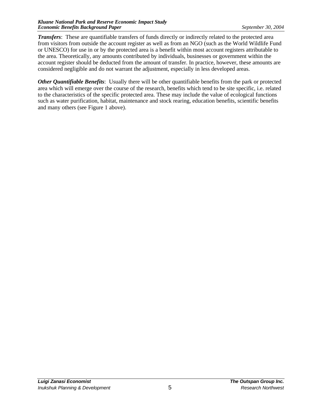*Transfers*: These are quantifiable transfers of funds directly or indirectly related to the protected area from visitors from outside the account register as well as from an NGO (such as the World Wildlife Fund or UNESCO) for use in or by the protected area is a benefit within most account registers attributable to the area. Theoretically, any amounts contributed by individuals, businesses or government within the account register should be deducted from the amount of transfer. In practice, however, these amounts are considered negligible and do not warrant the adjustment, especially in less developed areas.

*Other Quantifiable Benefits*: Usually there will be other quantifiable benefits from the park or protected area which will emerge over the course of the research, benefits which tend to be site specific, i.e. related to the characteristics of the specific protected area. These may include the value of ecological functions such as water purification, habitat, maintenance and stock rearing, education benefits, scientific benefits and many others (see Figure 1 above).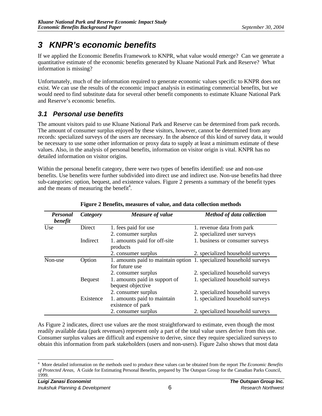## *3 KNPR's economic benefits*

If we applied the Economic Benefits Framework to KNPR, what value would emerge? Can we generate a quantitative estimate of the economic benefits generated by Kluane National Park and Reserve? What information is missing?

Unfortunately, much of the information required to generate economic values specific to KNPR does not exist. We can use the results of the economic impact analysis in estimating commercial benefits, but we would need to find substitute data for several other benefit components to estimate Kluane National Park and Reserve's economic benefits.

#### *3.1 Personal use benefits*

The amount visitors paid to use Kluane National Park and Reserve can be determined from park records. The amount of consumer surplus enjoyed by these visitors, however, cannot be determined from any records: specialized surveys of the users are necessary. In the absence of this kind of survey data, it would be necessary to use some other information or proxy data to supply at least a minimum estimate of these values. Also, in the analysis of personal benefits, information on visitor origin is vital. KNPR has no detailed information on visitor origins.

Within the personal benefit category, there were two types of benefits identified: use and non-use benefits. Use benefits were further subdivided into direct use and indirect use. Non-use benefits had three sub-categories: option, bequest, and existence values. Figure 2 presents a summary of the benefit types and the means of measuring the benefit<sup>4</sup>.

| <b>Personal</b><br>benefit | Category       | Measure of value                                                                      | <b>Method of data collection</b> |
|----------------------------|----------------|---------------------------------------------------------------------------------------|----------------------------------|
| Use                        | Direct         | 1. fees paid for use                                                                  | 1. revenue data from park        |
|                            |                | 2. consumer surplus                                                                   | 2. specialized user surveys      |
|                            | Indirect       | 1. amounts paid for off-site<br>products                                              | 1. business or consumer surveys  |
|                            |                | 2. consumer surplus                                                                   | 2. specialized household surveys |
| Non-use                    | Option         | 1. amounts paid to maintain option 1. specialized household surveys<br>for future use |                                  |
|                            |                | 2. consumer surplus                                                                   | 2. specialized household surveys |
|                            | <b>Bequest</b> | 1. amounts paid in support of<br>bequest objective                                    | 1. specialized household surveys |
|                            |                | 2. consumer surplus                                                                   | 2. specialized household surveys |
|                            | Existence      | 1. amounts paid to maintain<br>existence of park                                      | 1. specialized household surveys |
|                            |                | 2. consumer surplus                                                                   | 2. specialized household surveys |

#### **Figure 2 Benefits, measures of value, and data collection methods**

As Figure 2 indicates, direct use values are the most straightforward to estimate, even though the most readily available data (park revenues) represent only a part of the total value users derive from this use. Consumer surplus values are difficult and expensive to derive, since they require specialized surveys to obtain this information from park stakeholders (users and non-users). Figure 2also shows that most data

 4 More detailed information on the methods used to produce these values can be obtained from the report *The Economic Benefits of Protected Areas*, A Guide for Estimating Personal Benefits, prepared by The Outspan Group for the Canadian Parks Council, 1999.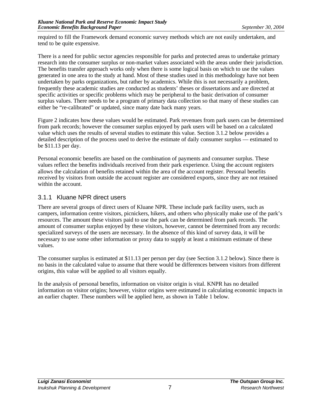required to fill the Framework demand economic survey methods which are not easily undertaken, and tend to be quite expensive.

There is a need for public sector agencies responsible for parks and protected areas to undertake primary research into the consumer surplus or non-market values associated with the areas under their jurisdiction. The benefits transfer approach works only when there is some logical basis on which to use the values generated in one area to the study at hand. Most of these studies used in this methodology have not been undertaken by parks organizations, but rather by academics. While this is not necessarily a problem. frequently these academic studies are conducted as students' theses or dissertations and are directed at specific activities or specific problems which may be peripheral to the basic derivation of consumer surplus values. There needs to be a program of primary data collection so that many of these studies can either be "re-calibrated" or updated, since many date back many years.

Figure 2 indicates how these values would be estimated. Park revenues from park users can be determined from park records; however the consumer surplus enjoyed by park users will be based on a calculated value which uses the results of several studies to estimate this value. Section 3.1.2 below provides a detailed description of the process used to derive the estimate of daily consumer surplus — estimated to be \$11.13 per day.

Personal economic benefits are based on the combination of payments and consumer surplus. These values reflect the benefits individuals received from their park experience. Using the account registers allows the calculation of benefits retained within the area of the account register. Personal benefits received by visitors from outside the account register are considered exports, since they are not retained within the account.

#### 3.1.1 Kluane NPR direct users

There are several groups of direct users of Kluane NPR. These include park facility users, such as campers, information centre visitors, picnickers, hikers, and others who physically make use of the park's resources. The amount these visitors paid to use the park can be determined from park records. The amount of consumer surplus enjoyed by these visitors, however, cannot be determined from any records: specialized surveys of the users are necessary. In the absence of this kind of survey data, it will be necessary to use some other information or proxy data to supply at least a minimum estimate of these values.

The consumer surplus is estimated at \$11.13 per person per day (see Section 3.1.2 below). Since there is no basis in the calculated value to assume that there would be differences between visitors from different origins, this value will be applied to all visitors equally.

In the analysis of personal benefits, information on visitor origin is vital. KNPR has no detailed information on visitor origins; however, visitor origins were estimated in calculating economic impacts in an earlier chapter. These numbers will be applied here, as shown in Table 1 below.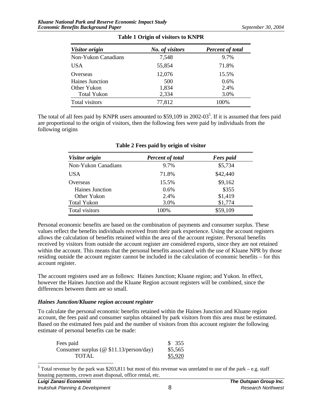| Visitor origin      | No. of visitors | <b>Percent of total</b> |  |
|---------------------|-----------------|-------------------------|--|
| Non-Yukon Canadians | 7,548           | 9.7%                    |  |
| <b>USA</b>          | 55,854          | 71.8%                   |  |
| Overseas            | 12,076          | 15.5%                   |  |
| Haines Junction     | 500             | 0.6%                    |  |
| Other Yukon         | 1,834           | 2.4%                    |  |
| <b>Total Yukon</b>  | 2,334           | 3.0%                    |  |
| Total visitors      | 77,812          | 100%                    |  |

**Table 1 Origin of visitors to KNPR**

The total of all fees paid by KNPR users amounted to \$59,109 in 2002-03<sup>5</sup>. If it is assumed that fees paid are proportional to the origin of visitors, then the following fees were paid by individuals from the following origins

| Visitor origin      | <b>Percent of total</b> | <b>Fees</b> paid |
|---------------------|-------------------------|------------------|
| Non-Yukon Canadians | 9.7%                    | \$5,734          |
| <b>USA</b>          | 71.8%                   | \$42,440         |
| Overseas            | 15.5%                   | \$9,162          |
| Haines Junction     | 0.6%                    | \$355            |
| Other Yukon         | 2.4%                    | \$1,419          |
| <b>Total Yukon</b>  | 3.0%                    | \$1,774          |
| Total visitors      | 100%                    | \$59,109         |

#### **Table 2 Fees paid by origin of visitor**

Personal economic benefits are based on the combination of payments and consumer surplus. These values reflect the benefits individuals received from their park experience. Using the account registers allows the calculation of benefits retained within the area of the account register. Personal benefits received by visitors from outside the account register are considered exports, since they are not retained within the account. This means that the personal benefits associated with the use of Kluane NPR by those residing outside the account register cannot be included in the calculation of economic benefits – for this account register.

The account registers used are as follows: Haines Junction; Kluane region; and Yukon. In effect, however the Haines Junction and the Kluane Region account registers will be combined, since the differences between them are so small.

#### *Haines Junction/Kluane region account register*

To calculate the personal economic benefits retained within the Haines Junction and Kluane region account, the fees paid and consumer surplus obtained by park visitors from this area must be estimated. Based on the estimated fees paid and the number of visitors from this account register the following estimate of personal benefits can be made:

| Fees paid                                  | \$355   |
|--------------------------------------------|---------|
| Consumer surplus ( $@$ \$11.13/person/day) | \$5,565 |
| <b>TOTAL</b>                               | \$5,920 |

<sup>&</sup>lt;sup>5</sup> Total revenue by the park was \$203,811 but most of this revenue was unrelated to use of the park – e.g. staff housing payments, crown asset disposal, office rental, etc.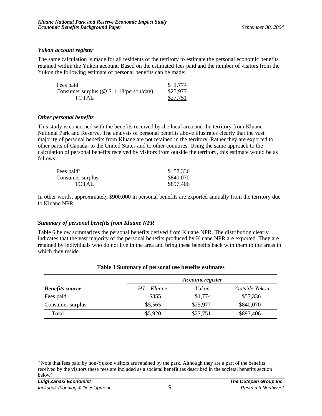#### *Yukon account register*

The same calculation is made for all residents of the territory to estimate the personal economic benefits retained within the Yukon account. Based on the estimated fees paid and the number of visitors from the Yukon the following estimate of personal benefits can be made:

| Fees paid                                  | \$1,774  |
|--------------------------------------------|----------|
| Consumer surplus ( $@$ \$11.13/person/day) | \$25,977 |
| <b>TOTAL</b>                               | \$27,751 |

#### *Other personal benefits*

This study is concerned with the benefits received by the local area and the territory from Kluane National Park and Reserve. The analysis of personal benefits above illustrates clearly that the vast majority of personal benefits from Kluane are not retained in the territory. Rather they are exported to other parts of Canada, to the United States and to other countries. Using the same approach to the calculation of personal benefits received by visitors from outside the territory, this estimate would be as follows:

| Fees paid <sup>6</sup> | \$57,336  |
|------------------------|-----------|
| Consumer surplus       | \$840,070 |
| <b>TOTAL</b>           | \$897,406 |

In other words, approximately \$900,000 in personal benefits are exported annually from the territory due to Kluane NPR.

#### *Summary of personal benefits from Kluane NPR*

Table 6 below summarizes the personal benefits derived from Kluane NPR. The distribution clearly indicates that the vast majority of the personal benefits produced by Kluane NPR are exported. They are retained by individuals who do not live in the area and bring these benefits back with them to the areas in which they reside.

|                        | <b>Account register</b> |          |               |  |
|------------------------|-------------------------|----------|---------------|--|
| <b>Benefits source</b> | $HJ-Kluane$             | Yukon    | Outside Yukon |  |
| Fees paid              | \$355                   | \$1,774  | \$57,336      |  |
| Consumer surplus       | \$5,565                 | \$25,977 | \$840,070     |  |
| Total                  | \$5,920                 | \$27,751 | \$897,406     |  |

#### **Table 3 Summary of personal use benefits estimates**

 $\overline{a}$ 

 $<sup>6</sup>$  Note that fees paid by non-Yukon visitors are retained by the park. Although they are a part of the benefits</sup> received by the visitors these fees are included as a societal benefit (as described in the societal benefits section below).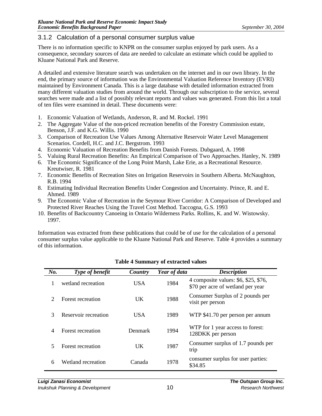#### 3.1.2 Calculation of a personal consumer surplus value

There is no information specific to KNPR on the consumer surplus enjoyed by park users. As a consequence, secondary sources of data are needed to calculate an estimate which could be applied to Kluane National Park and Reserve.

A detailed and extensive literature search was undertaken on the internet and in our own library. In the end, the primary source of information was the Environmental Valuation Reference Inventory (EVRI) maintained by Environment Canada. This is a large database with detailed information extracted from many different valuation studies from around the world. Through our subscription to the service, several searches were made and a list of possibly relevant reports and values was generated. From this list a total of ten files were examined in detail. These documents were:

- 1. Economic Valuation of Wetlands, Anderson, R. and M. Rockel. 1991
- 2. The Aggregate Value of the non-priced recreation benefits of the Forestry Commission estate, Benson, J.F. and K.G. Willis. 1990
- 3. Comparison of Recreation Use Values Among Alternative Reservoir Water Level Management Scenarios. Cordell, H.C. and J.C. Bergstrom. 1993
- 4. Economic Valuation of Recreation Benefits from Danish Forests. Dubgaard, A. 1998
- 5. Valuing Rural Recreation Benefits: An Empirical Comparison of Two Approaches. Hanley, N. 1989
- 6. The Economic Significance of the Long Point Marsh, Lake Erie, as a Recreational Resource. Kreutwiser, R. 1981
- 7. Economic Benefits of Recreation Sites on Irrigation Reservoirs in Southern Alberta. McNaughton, R.B. 1994
- 8. Estimating Individual Recreation Benefits Under Congestion and Uncertainty. Prince, R. and E. Ahmed. 1989
- 9. The Economic Value of Recreation in the Seymour River Corridor: A Comparison of Developed and Protected River Reaches Using the Travel Cost Method. Taccogna, G.S. 1993
- 10. Benefits of Backcountry Canoeing in Ontario Wilderness Parks. Rollins, K. and W. Wistowsky. 1997.

Information was extracted from these publications that could be of use for the calculation of a personal consumer surplus value applicable to the Kluane National Park and Reserve. Table 4 provides a summary of this information.

| $N_{0}$ .                   | Type of benefit      | Country    | Year of data | <b>Description</b>                                                        |
|-----------------------------|----------------------|------------|--------------|---------------------------------------------------------------------------|
| 1                           | wetland recreation   | <b>USA</b> | 1984         | 4 composite values: \$6, \$25, \$76,<br>\$70 per acre of wetland per year |
| $\mathcal{D}_{\mathcal{L}}$ | Forest recreation    | UK.        | 1988         | Consumer Surplus of 2 pounds per<br>visit per person                      |
| 3                           | Reservoir recreation | <b>USA</b> | 1989         | WTP \$41.70 per person per annum                                          |
| $\overline{4}$              | Forest recreation    | Denmark    | 1994         | WTP for 1 year access to forest:<br>128DKK per person                     |
| $\sim$                      | Forest recreation    | UK.        | 1987         | Consumer surplus of 1.7 pounds per<br>trip                                |
| 6                           | Wetland recreation   | Canada     | 1978         | consumer surplus for user parties:<br>\$34.85                             |

#### **Table 4 Summary of extracted values**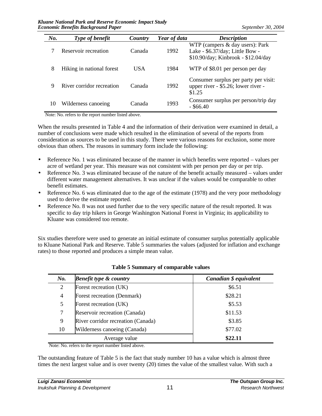| $N_{0}$ . | <b>Type of benefit</b>    | Country    | Year of data | <b>Description</b>                                                                                          |
|-----------|---------------------------|------------|--------------|-------------------------------------------------------------------------------------------------------------|
|           | Reservoir recreation      | Canada     | 1992         | WTP (campers $&$ day users): Park<br>Lake - \$6.37/day; Little Bow -<br>\$10.90/day; Kinbrook - \$12.04/day |
| 8         | Hiking in national forest | <b>USA</b> | 1984         | WTP of \$8.01 per person per day                                                                            |
| 9         | River corridor recreation | Canada     | 1992         | Consumer surplus per party per visit:<br>upper river - \$5.26; lower river -<br>\$1.25                      |
| 10        | Wilderness canoeing       | Canada     | 1993         | Consumer surplus per person/trip day<br>$-$ \$66.40                                                         |

Note: No. refers to the report number listed above.

When the results presented in Table 4 and the information of their derivation were examined in detail, a number of conclusions were made which resulted in the elimination of several of the reports from consideration as sources to be used in this study. There were various reasons for exclusion, some more obvious than others. The reasons in summary form include the following:

- Reference No. 1 was eliminated because of the manner in which benefits were reported values per acre of wetland per year. This measure was not consistent with per person per day or per trip.
- Reference No. 3 was eliminated because of the nature of the benefit actually measured values under different water management alternatives. It was unclear if the values would be comparable to other benefit estimates.
- Reference No. 6 was eliminated due to the age of the estimate (1978) and the very poor methodology used to derive the estimate reported.
- Reference No. 8 was not used further due to the very specific nature of the result reported. It was specific to day trip hikers in George Washington National Forest in Virginia; its applicability to Kluane was considered too remote.

Six studies therefore were used to generate an initial estimate of consumer surplus potentially applicable to Kluane National Park and Reserve. Table 5 summaries the values (adjusted for inflation and exchange rates) to those reported and produces a simple mean value.

| $N_{0}$ . | <b>Benefit type &amp; country</b>  | Canadian \$ equivalent |
|-----------|------------------------------------|------------------------|
| 2         | Forest recreation (UK)             | \$6.51                 |
| 4         | Forest recreation (Denmark)        | \$28.21                |
| 5         | Forest recreation (UK)             | \$5.53                 |
| 7         | Reservoir recreation (Canada)      | \$11.53                |
| 9         | River corridor recreation (Canada) | \$3.85                 |
| 10        | Wilderness canoeing (Canada)       | \$77.02                |
|           | Average value                      | \$22.11                |

#### **Table 5 Summary of comparable values**

Note: No. refers to the report number listed above.

The outstanding feature of Table 5 is the fact that study number 10 has a value which is almost three times the next largest value and is over twenty (20) times the value of the smallest value. With such a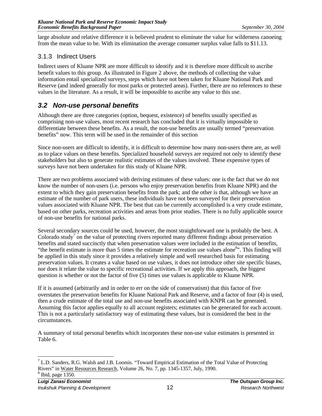large absolute and relative difference it is believed prudent to eliminate the value for wilderness canoeing from the mean value to be. With its elimination the average consumer surplus value falls to \$11.13.

#### 3.1.3 Indirect Users

Indirect users of Kluane NPR are more difficult to identify and it is therefore more difficult to ascribe benefit values to this group. As illustrated in Figure 2 above, the methods of collecting the value information entail specialized surveys, steps which have not been taken for Kluane National Park and Reserve (and indeed generally for most parks or protected areas). Further, there are no references to these values in the literature. As a result, it will be impossible to ascribe any value to this use.

#### *3.2 Non-use personal benefits*

Although there are three categories (option, bequest, existence) of benefits usually specified as comprising non-use values, most recent research has concluded that it is virtually impossible to differentiate between these benefits. As a result, the non-use benefits are usually termed "preservation benefits" now. This term will be used in the remainder of this section

Since non-users are difficult to identify, it is difficult to determine how many non-users there are, as well as to place values on these benefits. Specialized household surveys are required not only to identify these stakeholders but also to generate realistic estimates of the values involved. These expensive types of surveys have not been undertaken for this study of Kluane NPR.

There are two problems associated with deriving estimates of these values: one is the fact that we do not know the number of non-users (i.e. persons who enjoy preservation benefits from Kluane NPR) and the extent to which they gain preservation benefits from the park; and the other is that, although we have an estimate of the number of park users, these individuals have not been surveyed for their preservation values associated with Kluane NPR. The best that can be currently accomplished is a very crude estimate, based on other parks, recreation activities and areas from prior studies. There is no fully applicable source of non-use benefits for national parks.

Several secondary sources could be used, however, the most straightforward one is probably the best. A Colorado study<sup>7</sup> on the value of protecting rivers reported many different findings about preservation benefits and stated succinctly that when preservation values were included in the estimation of benefits, "the benefit estimate is more than 5 times the estimate for recreation use values alone<sup>8</sup>". This finding will be applied in this study since it provides a relatively simple and well researched basis for estimating preservation values. It creates a value based on use values, it does not introduce other site specific biases, nor does it relate the value to specific recreational activities. If we apply this approach, the biggest question is whether or not the factor of five (5) times use values is applicable to Kluane NPR.

If it is assumed (arbitrarily and in order to err on the side of conservatism) that this factor of five overstates the preservation benefits for Kluane National Park and Reserve, and a factor of four (4) is used, then a crude estimate of the total use and non-use benefits associated with KNPR can be generated. Assuming this factor applies equally to all account registers; estimates can be generated for each account. This is not a particularly satisfactory way of estimating these values, but is considered the best in the circumstances.

A summary of total personal benefits which incorporates these non-use value estimates is presented in Table 6.

 $\overline{a}$  $<sup>7</sup>$  L.D. Sanders, R.G. Walsh and J.B. Loomis. "Toward Empirical Estimation of the Total Value of Protecting</sup> Rivers" in Water Resources Research, Volume 26, No. 7, pp. 1345-1357, July, 1990. 8 Ibid, page 1350.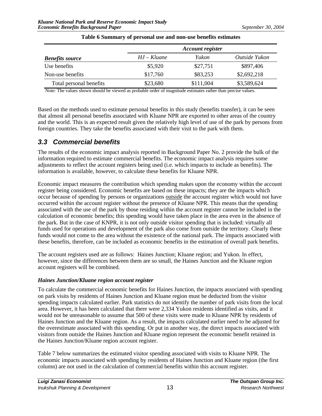|                         | <b>Account register</b> |           |               |  |
|-------------------------|-------------------------|-----------|---------------|--|
| <b>Benefits source</b>  | $HJ-Kluane$             | Yukon     | Outside Yukon |  |
| Use benefits            | \$5,920                 | \$27,751  | \$897,406     |  |
| Non-use benefits        | \$17,760                | \$83,253  | \$2,692,218   |  |
| Total personal benefits | \$23,680                | \$111,004 | \$3,589,624   |  |

#### **Table 6 Summary of personal use and non-use benefits estimates**

Note: The values shown should be viewed as probable order of magnitude estimates rather than precise values.

Based on the methods used to estimate personal benefits in this study (benefits transfer), it can be seen that almost all personal benefits associated with Kluane NPR are exported to other areas of the country and the world. This is an expected result given the relatively high level of use of the park by persons from foreign countries. They take the benefits associated with their visit to the park with them.

#### *3.3 Commercial benefits*

The results of the economic impact analysis reported in Background Paper No. 2 provide the bulk of the information required to estimate commercial benefits. The economic impact analysis requires some adjustments to reflect the account registers being used (i.e. which impacts to include as benefits). The information is available, however, to calculate these benefits for Kluane NPR.

Economic impact measures the contribution which spending makes upon the economy within the account register being considered. Economic benefits are based on these impacts; they are the impacts which occur because of spending by persons or organizations outside the account register which would not have occurred within the account register without the presence of Kluane NPR. This means that the spending associated with the use of the park by those residing within the account register cannot be included in the calculation of economic benefits; this spending would have taken place in the area even in the absence of the park. But in the case of KNPR, it is not only outside visitor spending that is included: virtually all funds used for operations and development of the park also come from outside the territory. Clearly these funds would not come to the area without the existence of the national park. The impacts associated with these benefits, therefore, can be included as economic benefits in the estimation of overall park benefits.

The account registers used are as follows: Haines Junction; Kluane region; and Yukon. In effect, however, since the differences between them are so small, the Haines Junction and the Kluane region account registers will be combined.

#### *Haines Junction/Kluane region account register*

To calculate the commercial economic benefits for Haines Junction, the impacts associated with spending on park visits by residents of Haines Junction and Kluane region must be deducted from the visitor spending impacts calculated earlier. Park statistics do not identify the number of park visits from the local area. However, it has been calculated that there were 2,334 Yukon residents identified as visits, and it would not be unreasonable to assume that 500 of these visits were made to Kluane NPR by residents of Haines Junction and the Kluane region. As a result, the impacts calculated earlier need to be adjusted for the overestimate associated with this spending. Or put in another way, the direct impacts associated with visitors from outside the Haines Junction and Kluane region represent the economic benefit retained in the Haines Junction/Kluane region account register.

Table 7 below summarizes the estimated visitor spending associated with visits to Kluane NPR. The economic impacts associated with spending by residents of Haines Junction and Kluane region (the first column) are not used in the calculation of commercial benefits within this account register.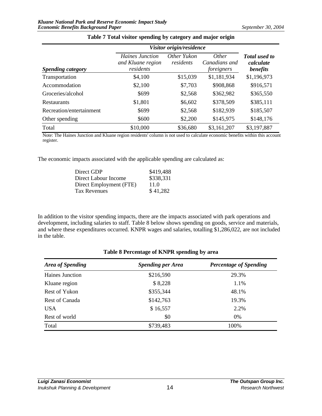|                          | Visitor origin/residence                          |                          |                                      |                                               |
|--------------------------|---------------------------------------------------|--------------------------|--------------------------------------|-----------------------------------------------|
| <i>Spending category</i> | Haines Junction<br>and Kluane region<br>residents | Other Yukon<br>residents | Other<br>Canadians and<br>foreigners | <b>Total</b> used to<br>calculate<br>benefits |
| Transportation           | \$4,100                                           | \$15,039                 | \$1,181,934                          | \$1,196,973                                   |
| Accommodation            | \$2,100                                           | \$7,703                  | \$908,868                            | \$916,571                                     |
| Groceries/alcohol        | \$699                                             | \$2,568                  | \$362,982                            | \$365,550                                     |
| <b>Restaurants</b>       | \$1,801                                           | \$6,602                  | \$378,509                            | \$385,111                                     |
| Recreation/entertainment | \$699                                             | \$2,568                  | \$182,939                            | \$185,507                                     |
| Other spending           | \$600                                             | \$2,200                  | \$145,975                            | \$148,176                                     |
| Total                    | \$10,000                                          | \$36,680                 | \$3,161,207                          | \$3,197,887                                   |

#### **Table 7 Total visitor spending by category and major origin**

Note: The Haines Junction and Kluane region residents' column is not used to calculate economic benefits within this account register.

The economic impacts associated with the applicable spending are calculated as:

| Direct GDP              | \$419,488 |
|-------------------------|-----------|
| Direct Labour Income    | \$338,331 |
| Direct Employment (FTE) | 11.0      |
| Tax Revenues            | \$41,282  |

In addition to the visitor spending impacts, there are the impacts associated with park operations and development, including salaries to staff. Table 8 below shows spending on goods, service and materials, and where these expenditures occurred. KNPR wages and salaries, totalling \$1,286,022, are not included in the table.

### *Area of Spending Spending per Area Percentage of Spending* Haines Junction  $$216,590$  29.3% Kluane region \$ 8,228 1.1% Rest of Yukon \$355,344 48.1% Rest of Canada  $$142,763$  19.3% USA  $$16,557$  2.2% Rest of world  $\qquad \qquad$  80  $\qquad \qquad$  0% Total 5739,483 100%

#### **Table 8 Percentage of KNPR spending by area**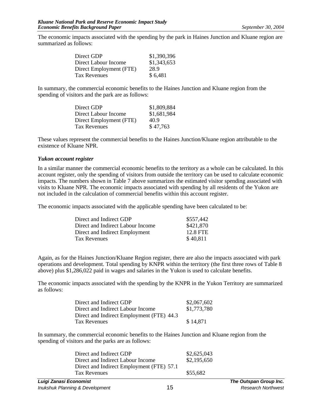The economic impacts associated with the spending by the park in Haines Junction and Kluane region are summarized as follows:

| \$1,390,396 |
|-------------|
| \$1,343,653 |
| 28.9        |
| \$6,481     |
|             |

In summary, the commercial economic benefits to the Haines Junction and Kluane region from the spending of visitors and the park are as follows:

| Direct GDP              | \$1,809,884 |
|-------------------------|-------------|
| Direct Labour Income    | \$1,681,984 |
| Direct Employment (FTE) | 40.9        |
| Tax Revenues            | \$47,763    |

These values represent the commercial benefits to the Haines Junction/Kluane region attributable to the existence of Kluane NPR.

#### *Yukon account register*

In a similar manner the commercial economic benefits to the territory as a whole can be calculated. In this account register, only the spending of visitors from outside the territory can be used to calculate economic impacts. The numbers shown in Table 7 above summarizes the estimated visitor spending associated with visits to Kluane NPR. The economic impacts associated with spending by all residents of the Yukon are not included in the calculation of commercial benefits within this account register.

The economic impacts associated with the applicable spending have been calculated to be:

| Direct and Indirect GDP           | \$557,442 |
|-----------------------------------|-----------|
| Direct and Indirect Labour Income | \$421,870 |
| Direct and Indirect Employment    | 12.8 FTE  |
| Tax Revenues                      | \$40,811  |
|                                   |           |

Again, as for the Haines Junction/Kluane Region register, there are also the impacts associated with park operations and development. Total spending by KNPR within the territory (the first three rows of Table 8 above) plus \$1,286,022 paid in wages and salaries in the Yukon is used to calculate benefits.

The economic impacts associated with the spending by the KNPR in the Yukon Territory are summarized as follows:

| Direct and Indirect GDP                   | \$2,067,602 |
|-------------------------------------------|-------------|
| Direct and Indirect Labour Income         | \$1,773,780 |
| Direct and Indirect Employment (FTE) 44.3 |             |
| Tax Revenues                              | \$14,871    |

In summary, the commercial economic benefits to the Haines Junction and Kluane region from the spending of visitors and the parks are as follows:

| \$2,625,043 |
|-------------|
| \$2,195,650 |
|             |
| \$55,682    |
|             |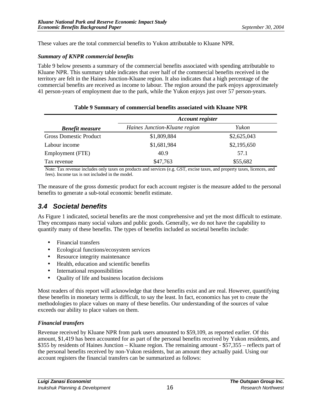These values are the total commercial benefits to Yukon attributable to Kluane NPR.

#### *Summary of KNPR commercial benefits*

Table 9 below presents a summary of the commercial benefits associated with spending attributable to Kluane NPR. This summary table indicates that over half of the commercial benefits received in the territory are felt in the Haines Junction-Kluane region. It also indicates that a high percentage of the commercial benefits are received as income to labour. The region around the park enjoys approximately 41 person-years of employment due to the park, while the Yukon enjoys just over 57 person-years.

|                               | <b>Account register</b>       |             |  |
|-------------------------------|-------------------------------|-------------|--|
| <b>Benefit measure</b>        | Haines Junction-Kluane region | Yukon       |  |
| <b>Gross Domestic Product</b> | \$1,809,884                   | \$2,625,043 |  |
| Labour income                 | \$1,681,984                   | \$2,195,650 |  |
| Employment (FTE)              | 40.9                          | 57.1        |  |
| Tax revenue                   | \$47,763                      | \$55,682    |  |

#### **Table 9 Summary of commercial benefits associated with Kluane NPR**

Note: Tax revenue includes only taxes on products and services (e.g. GST, excise taxes, and property taxes, licences, and fees). Income tax is not included in the model.

The measure of the gross domestic product for each account register is the measure added to the personal benefits to generate a sub-total economic benefit estimate.

#### *3.4 Societal benefits*

As Figure 1 indicated, societal benefits are the most comprehensive and yet the most difficult to estimate. They encompass many social values and public goods. Generally, we do not have the capability to quantify many of these benefits. The types of benefits included as societal benefits include:

- Financial transfers
- Ecological functions/ecosystem services
- Resource integrity maintenance
- Health, education and scientific benefits
- International responsibilities
- Quality of life and business location decisions

Most readers of this report will acknowledge that these benefits exist and are real. However, quantifying these benefits in monetary terms is difficult, to say the least. In fact, economics has yet to create the methodologies to place values on many of these benefits. Our understanding of the sources of value exceeds our ability to place values on them.

#### *Financial transfers*

Revenue received by Kluane NPR from park users amounted to \$59,109, as reported earlier. Of this amount, \$1,419 has been accounted for as part of the personal benefits received by Yukon residents, and \$355 by residents of Haines Junction – Kluane region. The remaining amount - \$57,355 – reflects part of the personal benefits received by non-Yukon residents, but an amount they actually paid. Using our account registers the financial transfers can be summarized as follows: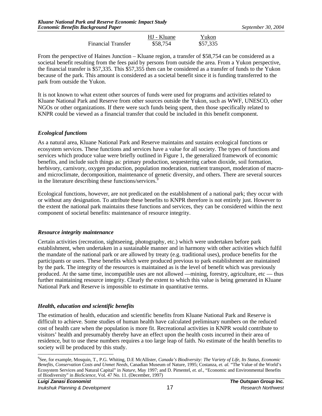|                           | HJ - Kluane | Yukon    |
|---------------------------|-------------|----------|
| <b>Financial Transfer</b> | \$58,754    | \$57,335 |

From the perspective of Haines Junction – Kluane region, a transfer of \$58,754 can be considered as a societal benefit resulting from the fees paid by persons from outside the area. From a Yukon perspective, the financial transfer is \$57,335. This \$57,355 then can be considered as a transfer of funds to the Yukon because of the park. This amount is considered as a societal benefit since it is funding transferred to the park from outside the Yukon.

It is not known to what extent other sources of funds were used for programs and activities related to Kluane National Park and Reserve from other sources outside the Yukon, such as WWF, UNESCO, other NGOs or other organizations. If there were such funds being spent, then those specifically related to KNPR could be viewed as a financial transfer that could be included in this benefit component.

#### *Ecological functions*

As a natural area, Kluane National Park and Reserve maintains and sustains ecological functions or ecosystem services. These functions and services have a value for all society. The types of functions and services which produce value were briefly outlined in Figure 1, the generalized framework of economic benefits, and include such things as: primary production, sequestering carbon dioxide, soil formation, herbivory, carnivory, oxygen production, population moderation, nutrient transport, moderation of macroand microclimate, decomposition, maintenance of genetic diversity, and others. There are several sources in the literature describing these functions/services.<sup>9</sup>

Ecological functions, however, are not predicated on the establishment of a national park; they occur with or without any designation. To attribute these benefits to KNPR therefore is not entirely just. However to the extent the national park maintains these functions and services, they can be considered within the next component of societal benefits: maintenance of resource integrity.

#### *Resource integrity maintenance*

Certain activities (recreation, sightseeing, photography, etc.) which were undertaken before park establishment, when undertaken in a sustainable manner and in harmony with other activities which fulfil the mandate of the national park or are allowed by treaty (e.g. traditional uses), produce benefits for the participants or users. These benefits which were produced previous to park establishment are maintained by the park. The integrity of the resources is maintained as is the level of benefit which was previously produced. At the same time, incompatible uses are not allowed —mining, forestry, agriculture, etc — thus further maintaining resource integrity. Clearly the extent to which this value is being generated in Kluane National Park and Reserve is impossible to estimate in quantitative terms.

#### *Health, education and scientific benefits*

The estimation of health, education and scientific benefits from Kluane National Park and Reserve is difficult to achieve. Some studies of human health have calculated preliminary numbers on the reduced cost of health care when the population is more fit. Recreational activities in KNPR would contribute to visitors' health and presumably thereby have an effect upon the health costs incurred in their area of residence, but to use these numbers requires a too large leap of faith. No estimate of the health benefits to society will be produced by this study.

 $\overline{a}$ 9 See, for example, Mosquin, T., P.G. Whiting, D.E McAllister, *Canada's Biodiversity: The Variety of Life, Its Status, Economic Benefits, Conservation Costs and Unmet Needs*, Canadian Museum of Nature, 1995; Costanza, *et. al.* "The Value of the World's Ecosystem Services and Natural Capital" in *Nature*, May 1997; and D. Pimentel, *et. al.*, "Economic and Environmental Benefits of Biodiversity" in *BioScience*, Vol. 47 No. 11. (December, 1997)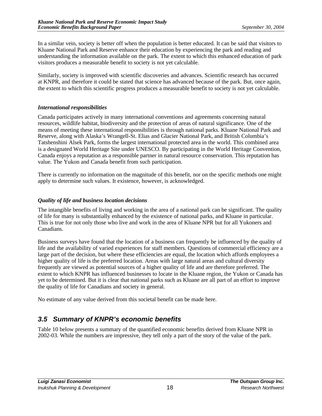In a similar vein, society is better off when the population is better educated. It can be said that visitors to Kluane National Park and Reserve enhance their education by experiencing the park and reading and understanding the information available on the park. The extent to which this enhanced education of park visitors produces a measurable benefit to society is not yet calculable.

Similarly, society is improved with scientific discoveries and advances. Scientific research has occurred at KNPR, and therefore it could be stated that science has advanced because of the park. But, once again, the extent to which this scientific progress produces a measurable benefit to society is not yet calculable.

#### *International responsibilities*

Canada participates actively in many international conventions and agreements concerning natural resources, wildlife habitat, biodiversity and the protection of areas of natural significance. One of the means of meeting these international responsibilities is through national parks. Kluane National Park and Reserve, along with Alaska's Wrangell-St. Elias and Glacier National Park, and British Columbia's Tatshenshini Alsek Park, forms the largest international protected area in the world. This combined area is a designated World Heritage Site under UNESCO. By participating in the World Heritage Convention, Canada enjoys a reputation as a responsible partner in natural resource conservation. This reputation has value. The Yukon and Canada benefit from such participation.

There is currently no information on the magnitude of this benefit, nor on the specific methods one might apply to determine such values. It existence, however, is acknowledged.

#### *Quality of life and business location decisions*

The intangible benefits of living and working in the area of a national park can be significant. The quality of life for many is substantially enhanced by the existence of national parks, and Kluane in particular. This is true for not only those who live and work in the area of Kluane NPR but for all Yukoners and Canadians.

Business surveys have found that the location of a business can frequently be influenced by the quality of life and the availability of varied experiences for staff members. Questions of commercial efficiency are a large part of the decision, but where these efficiencies are equal, the location which affords employees a higher quality of life is the preferred location. Areas with large natural areas and cultural diversity frequently are viewed as potential sources of a higher quality of life and are therefore preferred. The extent to which KNPR has influenced businesses to locate in the Kluane region, the Yukon or Canada has yet to be determined. But it is clear that national parks such as Kluane are all part of an effort to improve the quality of life for Canadians and society in general.

No estimate of any value derived from this societal benefit can be made here.

#### *3.5 Summary of KNPR's economic benefits*

Table 10 below presents a summary of the quantified economic benefits derived from Kluane NPR in 2002-03. While the numbers are impressive, they tell only a part of the story of the value of the park.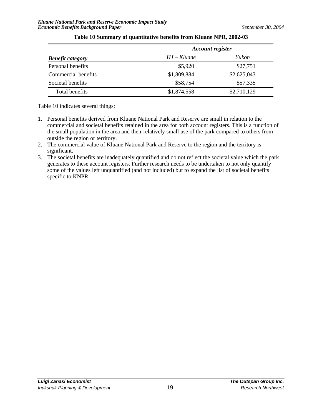| <b>Benefit category</b> | <b>Account register</b> |             |
|-------------------------|-------------------------|-------------|
|                         | $HJ-Kluane$             | Yukon       |
| Personal benefits       | \$5,920                 | \$27,751    |
| Commercial benefits     | \$1,809,884             | \$2,625,043 |
| Societal benefits       | \$58,754                | \$57,335    |
| Total benefits          | \$1,874,558             | \$2,710,129 |

#### **Table 10 Summary of quantitative benefits from Kluane NPR, 2002-03**

Table 10 indicates several things:

- 1. Personal benefits derived from Kluane National Park and Reserve are small in relation to the commercial and societal benefits retained in the area for both account registers. This is a function of the small population in the area and their relatively small use of the park compared to others from outside the region or territory.
- 2. The commercial value of Kluane National Park and Reserve to the region and the territory is significant.
- 3. The societal benefits are inadequately quantified and do not reflect the societal value which the park generates to these account registers. Further research needs to be undertaken to not only quantify some of the values left unquantified (and not included) but to expand the list of societal benefits specific to KNPR.